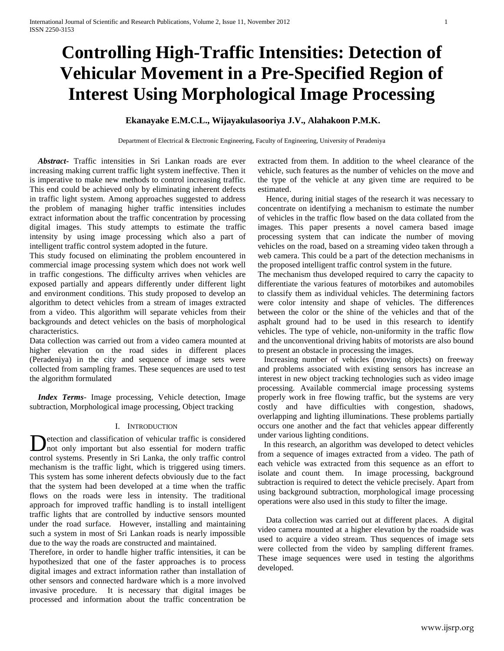# **Controlling High-Traffic Intensities: Detection of Vehicular Movement in a Pre-Specified Region of Interest Using Morphological Image Processing**

# **Ekanayake E.M.C.L., Wijayakulasooriya J.V., Alahakoon P.M.K.**

Department of Electrical & Electronic Engineering, Faculty of Engineering, University of Peradeniya

 *Abstract***-** Traffic intensities in Sri Lankan roads are ever increasing making current traffic light system ineffective. Then it is imperative to make new methods to control increasing traffic. This end could be achieved only by eliminating inherent defects in traffic light system. Among approaches suggested to address the problem of managing higher traffic intensities includes extract information about the traffic concentration by processing digital images. This study attempts to estimate the traffic intensity by using image processing which also a part of intelligent traffic control system adopted in the future.

This study focused on eliminating the problem encountered in commercial image processing system which does not work well in traffic congestions. The difficulty arrives when vehicles are exposed partially and appears differently under different light and environment conditions. This study proposed to develop an algorithm to detect vehicles from a stream of images extracted from a video. This algorithm will separate vehicles from their backgrounds and detect vehicles on the basis of morphological characteristics.

Data collection was carried out from a video camera mounted at higher elevation on the road sides in different places (Peradeniya) in the city and sequence of image sets were collected from sampling frames. These sequences are used to test the algorithm formulated

 *Index Terms*- Image processing, Vehicle detection, Image subtraction, Morphological image processing, Object tracking

## I. INTRODUCTION

etection and classification of vehicular traffic is considered not only important but also essential for modern traffic Detection and classification of vehicular traffic is considered not only important but also essential for modern traffic control systems. Presently in Sri Lanka, the only traffic control mechanism is the traffic light, which is triggered using timers. This system has some inherent defects obviously due to the fact that the system had been developed at a time when the traffic flows on the roads were less in intensity. The traditional approach for improved traffic handling is to install intelligent traffic lights that are controlled by inductive sensors mounted under the road surface. However, installing and maintaining such a system in most of Sri Lankan roads is nearly impossible due to the way the roads are constructed and maintained.

Therefore, in order to handle higher traffic intensities, it can be hypothesized that one of the faster approaches is to process digital images and extract information rather than installation of other sensors and connected hardware which is a more involved invasive procedure. It is necessary that digital images be processed and information about the traffic concentration be

extracted from them. In addition to the wheel clearance of the vehicle, such features as the number of vehicles on the move and the type of the vehicle at any given time are required to be estimated.

 Hence, during initial stages of the research it was necessary to concentrate on identifying a mechanism to estimate the number of vehicles in the traffic flow based on the data collated from the images. This paper presents a novel camera based image processing system that can indicate the number of moving vehicles on the road, based on a streaming video taken through a web camera. This could be a part of the detection mechanisms in the proposed intelligent traffic control system in the future.

The mechanism thus developed required to carry the capacity to differentiate the various features of motorbikes and automobiles to classify them as individual vehicles. The determining factors were color intensity and shape of vehicles. The differences between the color or the shine of the vehicles and that of the asphalt ground had to be used in this research to identify vehicles. The type of vehicle, non-uniformity in the traffic flow and the unconventional driving habits of motorists are also bound to present an obstacle in processing the images.

 Increasing number of vehicles (moving objects) on freeway and problems associated with existing sensors has increase an interest in new object tracking technologies such as video image processing. Available commercial image processing systems properly work in free flowing traffic, but the systems are very costly and have difficulties with congestion, shadows, overlapping and lighting illuminations. These problems partially occurs one another and the fact that vehicles appear differently under various lighting conditions.

 In this research, an algorithm was developed to detect vehicles from a sequence of images extracted from a video. The path of each vehicle was extracted from this sequence as an effort to isolate and count them. In image processing, background subtraction is required to detect the vehicle precisely. Apart from using background subtraction, morphological image processing operations were also used in this study to filter the image.

 Data collection was carried out at different places. A digital video camera mounted at a higher elevation by the roadside was used to acquire a video stream. Thus sequences of image sets were collected from the video by sampling different frames. These image sequences were used in testing the algorithms developed.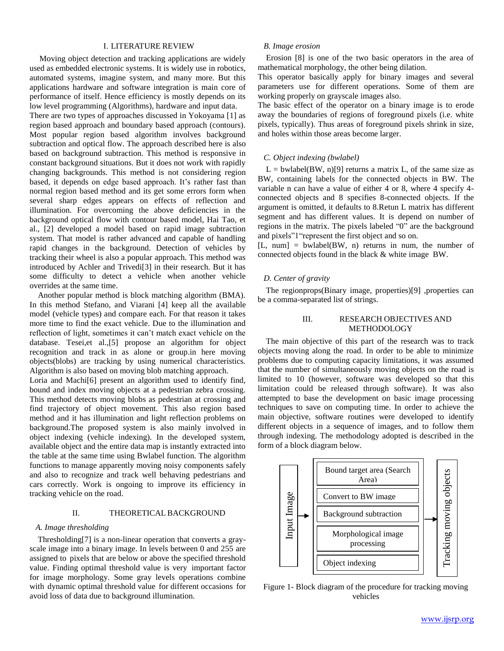# I. LITERATURE REVIEW

 Moving object detection and tracking applications are widely used as embedded electronic systems. It is widely use in robotics, automated systems, imagine system, and many more. But this applications hardware and software integration is main core of performance of itself. Hence efficiency is mostly depends on its low level programming (Algorithms), hardware and input data.

There are two types of approaches discussed in Yokoyama [1] as region based approach and boundary based approach (contours). Most popular region based algorithm involves background subtraction and optical flow. The approach described here is also based on background subtraction. This method is responsive in constant background situations. But it does not work with rapidly changing backgrounds. This method is not considering region based, it depends on edge based approach. It's rather fast than normal region based method and its get some errors form when several sharp edges appears on effects of reflection and illumination. For overcoming the above deficiencies in the background optical flow with contour based model, Hai Tao, et al., [2] developed a model based on rapid image subtraction system. That model is rather advanced and capable of handling rapid changes in the background. Detection of vehicles by tracking their wheel is also a popular approach. This method was introduced by Achler and Trivedi[3] in their research. But it has some difficulty to detect a vehicle when another vehicle overrides at the same time.

 Another popular method is block matching algorithm (BMA). In this method Stefano, and Viarani [4] keep all the available model (vehicle types) and compare each. For that reason it takes more time to find the exact vehicle. Due to the illumination and reflection of light, sometimes it can't match exact vehicle on the database. Tesei,et al.,[5] propose an algorithm for object recognition and track in as alone or group.in here moving objects(blobs) are tracking by using numerical characteristics. Algorithm is also based on moving blob matching approach.

Loria and Machi[6] present an algorithm used to identify find, bound and index moving objects at a pedestrian zebra crossing. This method detects moving blobs as pedestrian at crossing and find trajectory of object movement. This also region based method and it has illumination and light reflection problems on background.The proposed system is also mainly involved in object indexing (vehicle indexing). In the developed system, available object and the entire data map is instantly extracted into the table at the same time using Bwlabel function. The algorithm functions to manage apparently moving noisy components safely and also to recognize and track well behaving pedestrians and cars correctly. Work is ongoing to improve its efficiency in tracking vehicle on the road.

# II. THEORETICAL BACKGROUND

### *A. Image thresholding*

 Thresholding[7] is a non-linear operation that converts a grayscale image into a binary image. In levels between 0 and 255 are assigned to pixels that are below or above the specified threshold value. Finding optimal threshold value is very important factor for image morphology. Some gray levels operations combine with dynamic optimal threshold value for different occasions for avoid loss of data due to background illumination.

# *B. Image erosion*

 Erosion [8] is one of the two basic operators in the area of mathematical morphology, the other being dilation.

This operator basically apply for binary images and several parameters use for different operations. Some of them are working properly on grayscale images also.

The basic effect of the operator on a binary image is to erode away the boundaries of regions of foreground pixels (i.e. white pixels, typically). Thus areas of foreground pixels shrink in size, and holes within those areas become larger.

#### *C. Object indexing (bwlabel)*

 $L =$  bwlabel(BW, n)[9] returns a matrix L, of the same size as BW, containing labels for the connected objects in BW. The variable n can have a value of either 4 or 8, where 4 specify 4 connected objects and 8 specifies 8-connected objects. If the argument is omitted, it defaults to 8.Retun L matrix has different segment and has different values. It is depend on number of regions in the matrix. The pixels labeled "0" are the background and pixels"1"represent the first object and so on.

 $[L, num] = bwlabel(BW, n)$  returns in num, the number of connected objects found in the black & white image BW.

## *D. Center of gravity*

 The regionprops(Binary image, properties)[9] ,properties can be a comma-separated list of strings.

# III. RESEARCH OBJECTIVES AND METHODOLOGY

 The main objective of this part of the research was to track objects moving along the road. In order to be able to minimize problems due to computing capacity limitations, it was assumed that the number of simultaneously moving objects on the road is limited to 10 (however, software was developed so that this limitation could be released through software). It was also attempted to base the development on basic image processing techniques to save on computing time. In order to achieve the main objective, software routines were developed to identify different objects in a sequence of images, and to follow them through indexing. The methodology adopted is described in the form of a block diagram below.



Figure 1- Block diagram of the procedure for tracking moving vehicles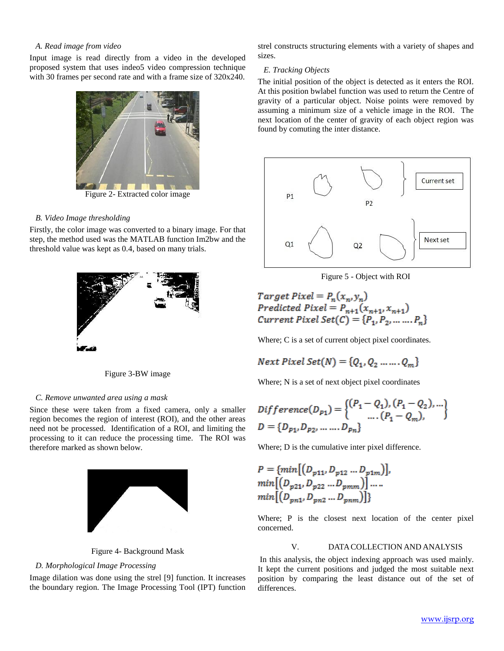# *A. Read image from video*

Input image is read directly from a video in the developed proposed system that uses indeo5 video compression technique with 30 frames per second rate and with a frame size of 320x240.



# *B. Video Image thresholding*

Firstly, the color image was converted to a binary image. For that step, the method used was the MATLAB function Im2bw and the threshold value was kept as 0.4, based on many trials.



Figure 3-BW image

# *C. Remove unwanted area using a mask*

Since these were taken from a fixed camera, only a smaller region becomes the region of interest (ROI), and the other areas need not be processed. Identification of a ROI, and limiting the processing to it can reduce the processing time. The ROI was therefore marked as shown below.



Figure 4- Background Mask

#### *D. Morphological Image Processing*

Image dilation was done using the strel [9] function. It increases the boundary region. The Image Processing Tool (IPT) function strel constructs structuring elements with a variety of shapes and sizes.

# *E. Tracking Objects*

The initial position of the object is detected as it enters the ROI. At this position bwlabel function was used to return the Centre of gravity of a particular object. Noise points were removed by assuming a minimum size of a vehicle image in the ROI. The next location of the center of gravity of each object region was found by comuting the inter distance.



Figure 5 - Object with ROI

Target Pixel =  $P_n(x_n, y_n)$ Predicted Pixel =  $P_{n+1}(x_{n+1}, x_{n+1})$ *Current Pixel Set(C)* =  $\{P_1, P_2, ..., P_n\}$ 

Where; C is a set of current object pixel coordinates.

Next 
$$
P
$$
ized  $Set(N) = \{Q_1, Q_2, \ldots, Q_m\}$ 

Where; N is a set of next object pixel coordinates

$$
Different(c(D_{p_1}) = \begin{cases} (P_1 - Q_1), (P_1 - Q_2), ... \\ ... (P_1 - Q_m), \end{cases}
$$
  

$$
D = \{D_{p_1}, D_{p_2}, ... ... D_{p_n}\}
$$

Where; D is the cumulative inter pixel difference.

$$
P = \{ \min\big[ (D_{p11}, D_{p12} \dots D_{p1m}) \big],
$$
  
\n
$$
\min\big[ (D_{p21}, D_{p22} \dots D_{pmm}) \big] \dots
$$
  
\n
$$
\min\big[ (D_{pn1}, D_{pn2} \dots D_{pmm}) \big] \}
$$

L.

Where; P is the closest next location of the center pixel concerned.

# V. DATACOLLECTION AND ANALYSIS

In this analysis, the object indexing approach was used mainly. It kept the current positions and judged the most suitable next position by comparing the least distance out of the set of differences.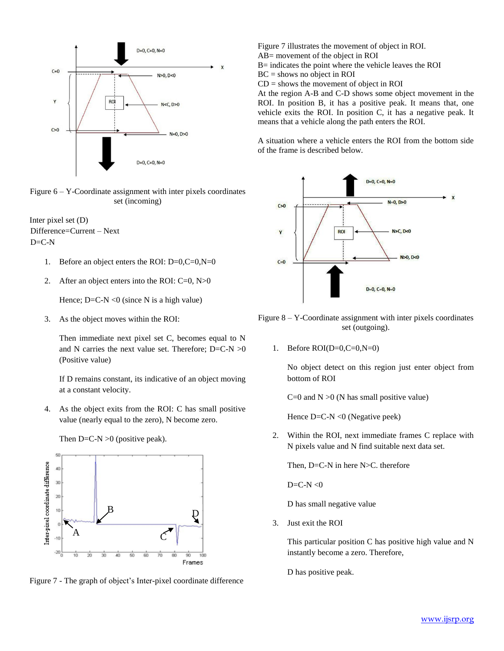

Figure 6 – Y-Coordinate assignment with inter pixels coordinates set (incoming)

Inter pixel set (D) Difference=Current – Next  $D=C-N$ 

- 1. Before an object enters the ROI: D=0,C=0,N=0
- 2. After an object enters into the ROI: C=0, N>0

Hence;  $D=C-N < 0$  (since N is a high value)

3. As the object moves within the ROI:

Then immediate next pixel set C, becomes equal to N and N carries the next value set. Therefore;  $D=C-N > 0$ (Positive value)

If D remains constant, its indicative of an object moving at a constant velocity.

4. As the object exits from the ROI: C has small positive value (nearly equal to the zero), N become zero.



Then  $D=C-N > 0$  (positive peak).

Figure 7 - The graph of object's Inter-pixel coordinate difference

Figure 7 illustrates the movement of object in ROI. AB= movement of the object in ROI

B= indicates the point where the vehicle leaves the ROI

 $BC =$ shows no object in ROI

 $CD =$  shows the movement of object in ROI

At the region A-B and C-D shows some object movement in the ROI. In position B, it has a positive peak. It means that, one vehicle exits the ROI. In position C, it has a negative peak. It means that a vehicle along the path enters the ROI.

A situation where a vehicle enters the ROI from the bottom side of the frame is described below.



- Figure 8 Y-Coordinate assignment with inter pixels coordinates set (outgoing).
	- 1. Before  $ROI(D=0, C=0, N=0)$

No object detect on this region just enter object from bottom of ROI

 $C=0$  and  $N > 0$  (N has small positive value)

Hence D=C-N <0 (Negative peek)

2. Within the ROI, next immediate frames C replace with N pixels value and N find suitable next data set.

Then, D=C-N in here N>C. therefore

 $D=C-N<0$ 

D has small negative value

3. Just exit the ROI

This particular position C has positive high value and N instantly become a zero. Therefore,

D has positive peak.